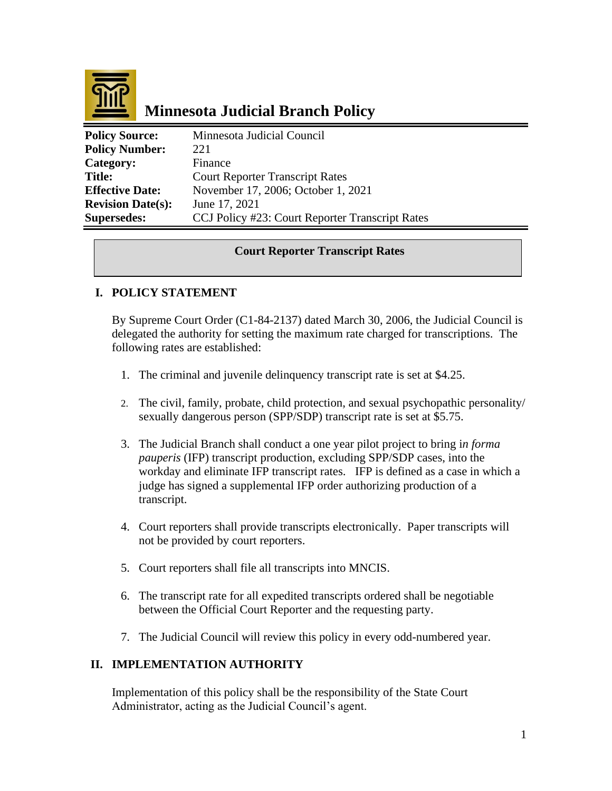

# **Minnesota Judicial Branch Policy**

| <b>Policy Source:</b>    | Minnesota Judicial Council                      |
|--------------------------|-------------------------------------------------|
| <b>Policy Number:</b>    | 22.1                                            |
| Category:                | Finance                                         |
| <b>Title:</b>            | <b>Court Reporter Transcript Rates</b>          |
| <b>Effective Date:</b>   | November 17, 2006; October 1, 2021              |
| <b>Revision Date(s):</b> | June 17, 2021                                   |
| <b>Supersedes:</b>       | CCJ Policy #23: Court Reporter Transcript Rates |

### **Court Reporter Transcript Rates**

### **I. POLICY STATEMENT**

By Supreme Court Order (C1-84-2137) dated March 30, 2006, the Judicial Council is delegated the authority for setting the maximum rate charged for transcriptions. The following rates are established:

- 1. The criminal and juvenile delinquency transcript rate is set at \$4.25.
- 2. The civil, family, probate, child protection, and sexual psychopathic personality/ sexually dangerous person (SPP/SDP) transcript rate is set at \$5.75.
- 3. The Judicial Branch shall conduct a one year pilot project to bring i*n forma pauperis* (IFP) transcript production, excluding SPP/SDP cases, into the workday and eliminate IFP transcript rates. IFP is defined as a case in which a judge has signed a supplemental IFP order authorizing production of a transcript.
- 4. Court reporters shall provide transcripts electronically. Paper transcripts will not be provided by court reporters.
- 5. Court reporters shall file all transcripts into MNCIS.
- 6. The transcript rate for all expedited transcripts ordered shall be negotiable between the Official Court Reporter and the requesting party.
- 7. The Judicial Council will review this policy in every odd-numbered year.

#### **II. IMPLEMENTATION AUTHORITY**

Implementation of this policy shall be the responsibility of the State Court Administrator, acting as the Judicial Council's agent.